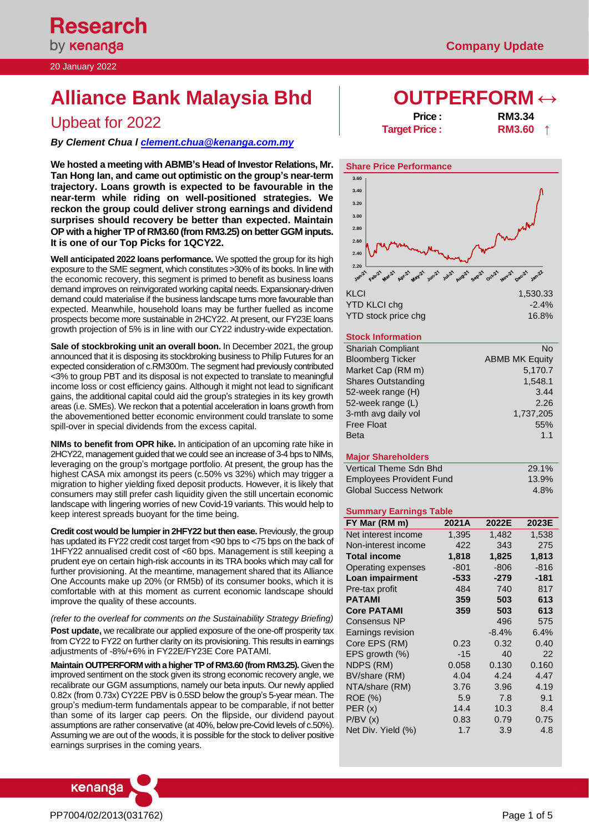20 January 2022

# **Alliance Bank Malaysia Bhd**  $\qquad$  **OUTPERFORM ↔**

# **Upbeat for 2022**

*By Clement Chua [l clement.chua@kenanga.co](mailto:clement.chua@kenanga.com.my)m.my*

**We hosted a meeting with ABMB's Head of Investor Relations, Mr. Tan Hong Ian, and came out optimistic on the group's near-term trajectory. Loans growth is expected to be favourable in the near-term while riding on well-positioned strategies. We reckon the group could deliver strong earnings and dividend surprises should recovery be better than expected. Maintain OP with a higher TP of RM3.60 (from RM3.25) on better GGM inputs. It is one of our Top Picks for 1QCY22.** 

**Well anticipated 2022 loans performance.** We spotted the group for its high exposure to the SME segment, which constitutes >30% of its books. In line with the economic recovery, this segment is primed to benefit as business loans demand improves on reinvigorated working capital needs. Expansionary-driven demand could materialise if the business landscape turns more favourable than expected. Meanwhile, household loans may be further fuelled as income prospects become more sustainable in 2HCY22. At present, our FY23E loans growth projection of 5% is in line with our CY22 industry-wide expectation.

**Sale of stockbroking unit an overall boon.** In December 2021, the group announced that it is disposing its stockbroking business to Philip Futures for an expected consideration of c.RM300m. The segment had previously contributed <3% to group PBT and its disposal is not expected to translate to meaningful income loss or cost efficiency gains. Although it might not lead to significant gains, the additional capital could aid the group's strategies in its key growth areas (i.e. SMEs). We reckon that a potential acceleration in loans growth from the abovementioned better economic environment could translate to some spill-over in special dividends from the excess capital.

**NIMs to benefit from OPR hike.** In anticipation of an upcoming rate hike in 2HCY22, management guided that we could see an increase of 3-4 bps to NIMs, leveraging on the group's mortgage portfolio. At present, the group has the highest CASA mix amongst its peers (c.50% vs 32%) which may trigger a migration to higher yielding fixed deposit products. However, it is likely that consumers may still prefer cash liquidity given the still uncertain economic landscape with lingering worries of new Covid-19 variants. This would help to keep interest spreads buoyant for the time being.

**Credit cost would be lumpier in 2HFY22 but then ease.** Previously, the group has updated its FY22 credit cost target from <90 bps to <75 bps on the back of 1HFY22 annualised credit cost of <60 bps. Management is still keeping a prudent eye on certain high-risk accounts in its TRA books which may call for further provisioning. At the meantime, management shared that its Alliance One Accounts make up 20% (or RM5b) of its consumer books, which it is comfortable with at this moment as current economic landscape should improve the quality of these accounts.

*(refer to the overleaf for comments on the Sustainability Strategy Briefing)*

**Post update,** we recalibrate our applied exposure of the one-off prosperity tax from CY22 to FY22 on further clarity on its provisioning. This results in earnings adjustments of -8%/+6% in FY22E/FY23E Core PATAMI.

**Maintain OUTPERFORM with a higher TP of RM3.60 (from RM3.25).** Given the improved sentiment on the stock given its strong economic recovery angle, we recalibrate our GGM assumptions, namely our beta inputs. Our newly applied 0.82x (from 0.73x) CY22E PBV is 0.5SD below the group's 5-year mean. The group's medium-term fundamentals appear to be comparable, if not better than some of its larger cap peers. On the flipside, our dividend payout assumptions are rather conservative (at 40%, below pre-Covid levels of c.50%). Assuming we are out of the woods, it is possible for the stock to deliver positive earnings surprises in the coming years.



| <b>Price:</b>        | <b>RM3.34</b> |  |
|----------------------|---------------|--|
| <b>Target Price:</b> | <b>RM3.60</b> |  |



# **Stock Information**

| <b>JIULA IHIUHIIAUUH</b>  |                       |
|---------------------------|-----------------------|
| <b>Shariah Compliant</b>  | No                    |
| <b>Bloomberg Ticker</b>   | <b>ABMB MK Equity</b> |
| Market Cap (RM m)         | 5,170.7               |
| <b>Shares Outstanding</b> | 1,548.1               |
| 52-week range (H)         | 3.44                  |
| 52-week range (L)         | 2.26                  |
| 3-mth avg daily vol       | 1,737,205             |
| <b>Free Float</b>         | 55%                   |
| <b>Beta</b>               | 1.1                   |
|                           |                       |

### **Major Shareholders**

| Vertical Theme Sdn Bhd          | 29.1% |
|---------------------------------|-------|
| <b>Employees Provident Fund</b> | 13.9% |
| <b>Global Success Network</b>   | 4.8%  |

### **Summary Earnings Table**

| FY Mar (RM m)             | 2021A  | 2022E   | 2023E  |
|---------------------------|--------|---------|--------|
| Net interest income       | 1,395  | 1,482   | 1,538  |
| Non-interest income       | 422    | 343     | 275    |
| <b>Total income</b>       | 1,818  | 1,825   | 1,813  |
| <b>Operating expenses</b> | $-801$ | -806    | $-816$ |
| Loan impairment           | $-533$ | $-279$  | -181   |
| Pre-tax profit            | 484    | 740     | 817    |
| <b>PATAMI</b>             | 359    | 503     | 613    |
| <b>Core PATAMI</b>        | 359    | 503     | 613    |
| Consensus NP              |        | 496     | 575    |
| Earnings revision         |        | $-8.4%$ | 6.4%   |
| Core EPS (RM)             | 0.23   | 0.32    | 0.40   |
| EPS growth (%)            | $-15$  | 40      | 22     |
| NDPS (RM)                 | 0.058  | 0.130   | 0.160  |
| BV/share (RM)             | 4.04   | 4.24    | 4.47   |
| NTA/share (RM)            | 3.76   | 3.96    | 4.19   |
| <b>ROE (%)</b>            | 5.9    | 7.8     | 9.1    |
| PER (x)                   | 14.4   | 10.3    | 8.4    |
| P/BV(x)                   | 0.83   | 0.79    | 0.75   |
| Net Div. Yield (%)        | 1.7    | 3.9     | 4.8    |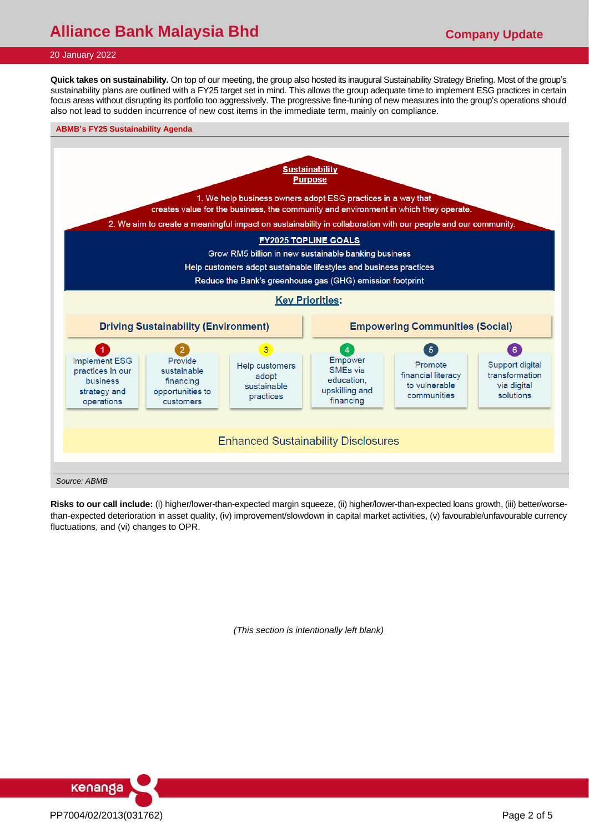# **Alliance Bank Malaysia Bhd Company Update**

## 20 January 2022

**Quick takes on sustainability.** On top of our meeting, the group also hosted its inaugural Sustainability Strategy Briefing. Most of the group's sustainability plans are outlined with a FY25 target set in mind. This allows the group adequate time to implement ESG practices in certain focus areas without disrupting its portfolio too aggressively. The progressive fine-tuning of new measures into the group's operations should also not lead to sudden incurrence of new cost items in the immediate term, mainly on compliance.

#### **ABMB's FY25 Sustainability Agenda**



**Risks to our call include:** (i) higher/lower-than-expected margin squeeze, (ii) higher/lower-than-expected loans growth, (iii) better/worsethan-expected deterioration in asset quality, (iv) improvement/slowdown in capital market activities, (v) favourable/unfavourable currency fluctuations, and (vi) changes to OPR.

*(This section is intentionally left blank)*

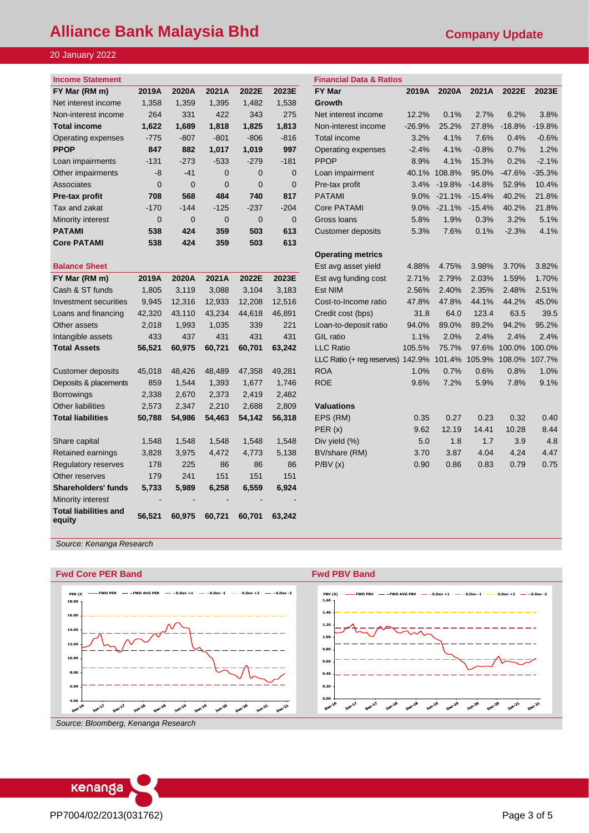# **Alliance Bank Malaysia Bhd Company Update**

# 20 January 2022

| <b>Income Statement</b> |          |                |          |          |          | <b>Financial Data &amp; Ratios</b> |          |           |                   |          |          |
|-------------------------|----------|----------------|----------|----------|----------|------------------------------------|----------|-----------|-------------------|----------|----------|
| FY Mar (RM m)           | 2019A    | 2020A          | 2021A    | 2022E    | 2023E    | <b>FY Mar</b>                      | 2019A    | 2020A     | 2021A             | 2022E    | 2023E    |
| Net interest income     | 1,358    | 1.359          | 1.395    | 1.482    | 1,538    | Growth                             |          |           |                   |          |          |
| Non-interest income     | 264      | 331            | 422      | 343      | 275      | Net interest income                | 12.2%    | 0.1%      | 2.7%              | 6.2%     | 3.8%     |
| <b>Total income</b>     | 1,622    | 1.689          | 1,818    | 1.825    | 1,813    | Non-interest income                | $-26.9%$ | 25.2%     | 27.8%             | $-18.8%$ | $-19.8%$ |
| Operating expenses      | $-775$   | $-807$         | $-801$   | $-806$   | $-816$   | Total income                       | 3.2%     | 4.1%      | 7.6%              | 0.4%     | $-0.6%$  |
| <b>PPOP</b>             | 847      | 882            | 1,017    | 1.019    | 997      | Operating expenses                 | $-2.4%$  | 4.1%      | $-0.8%$           | 0.7%     | 1.2%     |
| Loan impairments        | $-131$   | $-273$         | $-533$   | $-279$   | $-181$   | <b>PPOP</b>                        | 8.9%     | 4.1%      | 15.3%             | 0.2%     | $-2.1%$  |
| Other impairments       | $-8$     | $-41$          | $\Omega$ | $\Omega$ | $\Omega$ | Loan impairment                    | 40.1%    | 108.8%    | 95.0%             | $-47.6%$ | $-35.3%$ |
| Associates              | $\Omega$ | $\overline{0}$ | $\Omega$ | $\Omega$ | $\Omega$ | Pre-tax profit                     | 3.4%     | $-19.8\%$ | $-14.8%$          | 52.9%    | 10.4%    |
| Pre-tax profit          | 708      | 568            | 484      | 740      | 817      | <b>PATAMI</b>                      | 9.0%     |           | $-21.1\% -15.4\%$ | 40.2%    | 21.8%    |
| Tax and zakat           | $-170$   | $-144$         | $-125$   | $-237$   | $-204$   | Core PATAMI                        | 9.0%     | $-21.1%$  | $-15.4%$          | 40.2%    | 21.8%    |
| Minority interest       | $\Omega$ | $\overline{0}$ | $\Omega$ | $\Omega$ | $\Omega$ | Gross Ioans                        | 5.8%     | 1.9%      | 0.3%              | 3.2%     | 5.1%     |
| <b>PATAMI</b>           | 538      | 424            | 359      | 503      | 613      | Customer deposits                  | 5.3%     | 7.6%      | 0.1%              | $-2.3%$  | 4.1%     |
| <b>Core PATAMI</b>      | 538      | 424            | 359      | 503      | 613      |                                    |          |           |                   |          |          |

| Dalance Əheet                          |        |        |        |        |        | ESI dvy dobel yielu               | 4.0070 | 4.7070 | <b>J.JO70</b> | <b>J.IU70</b> | 0.0270 |
|----------------------------------------|--------|--------|--------|--------|--------|-----------------------------------|--------|--------|---------------|---------------|--------|
| FY Mar (RM m)                          | 2019A  | 2020A  | 2021A  | 2022E  | 2023E  | Est avg funding cost              | 2.71%  | 2.79%  | 2.03%         | 1.59%         | 1.70%  |
| Cash & ST funds                        | 1,805  | 3,119  | 3,088  | 3,104  | 3,183  | Est NIM                           | 2.56%  | 2.40%  | 2.35%         | 2.48%         | 2.51%  |
| Investment securities                  | 9,945  | 12,316 | 12.933 | 12,208 | 12,516 | Cost-to-Income ratio              | 47.8%  | 47.8%  | 44.1%         | 44.2%         | 45.0%  |
| Loans and financing                    | 42,320 | 43,110 | 43,234 | 44,618 | 46,891 | Credit cost (bps)                 | 31.8   | 64.0   | 123.4         | 63.5          | 39.5   |
| Other assets                           | 2,018  | 1,993  | 1,035  | 339    | 221    | Loan-to-deposit ratio             | 94.0%  | 89.0%  | 89.2%         | 94.2%         | 95.2%  |
| Intangible assets                      | 433    | 437    | 431    | 431    | 431    | <b>GIL</b> ratio                  | 1.1%   | 2.0%   | 2.4%          | 2.4%          | 2.4%   |
| <b>Total Assets</b>                    | 56,521 | 60,975 | 60,721 | 60,701 | 63,242 | <b>LLC Ratio</b>                  | 105.5% | 75.7%  | 97.6%         | 100.0%        | 100.0% |
|                                        |        |        |        |        |        | LLC Ratio (+ reg reserves) 142.9% |        | 101.4% | 105.9%        | 108.0%        | 107.7% |
| Customer deposits                      | 45,018 | 48,426 | 48,489 | 47.358 | 49,281 | <b>ROA</b>                        | 1.0%   | 0.7%   | 0.6%          | 0.8%          | 1.0%   |
| Deposits & placements                  | 859    | 1,544  | 1,393  | 1,677  | 1,746  | <b>ROE</b>                        | 9.6%   | 7.2%   | 5.9%          | 7.8%          | 9.1%   |
| <b>Borrowings</b>                      | 2,338  | 2.670  | 2,373  | 2,419  | 2,482  |                                   |        |        |               |               |        |
| <b>Other liabilities</b>               | 2,573  | 2.347  | 2,210  | 2,688  | 2,809  | <b>Valuations</b>                 |        |        |               |               |        |
| <b>Total liabilities</b>               | 50,788 | 54,986 | 54,463 | 54,142 | 56,318 | EPS (RM)                          | 0.35   | 0.27   | 0.23          | 0.32          | 0.40   |
|                                        |        |        |        |        |        | PER(x)                            | 9.62   | 12.19  | 14.41         | 10.28         | 8.44   |
| Share capital                          | 1,548  | 1,548  | 1,548  | 1,548  | 1,548  | Div yield (%)                     | 5.0    | 1.8    | 1.7           | 3.9           | 4.8    |
| Retained earnings                      | 3,828  | 3,975  | 4,472  | 4,773  | 5,138  | BV/share (RM)                     | 3.70   | 3.87   | 4.04          | 4.24          | 4.47   |
| Regulatory reserves                    | 178    | 225    | 86     | 86     | 86     | P/BV(x)                           | 0.90   | 0.86   | 0.83          | 0.79          | 0.75   |
| Other reserves                         | 179    | 241    | 151    | 151    | 151    |                                   |        |        |               |               |        |
| <b>Shareholders' funds</b>             | 5,733  | 5,989  | 6,258  | 6,559  | 6,924  |                                   |        |        |               |               |        |
| Minority interest                      |        |        |        |        |        |                                   |        |        |               |               |        |
| <b>Total liabilities and</b><br>equity | 56,521 | 60,975 | 60,721 | 60,701 | 63.242 |                                   |        |        |               |               |        |

| <b>Income Statement</b>      |                |                |                |                |                | <b>Financial Data &amp; Ratios</b> |          |          |          |          |          |
|------------------------------|----------------|----------------|----------------|----------------|----------------|------------------------------------|----------|----------|----------|----------|----------|
| FY Mar (RM m)                | 2019A          | 2020A          | 2021A          | 2022E          | 2023E          | <b>FY Mar</b>                      | 2019A    | 2020A    | 2021A    | 2022E    | 2023E    |
| Net interest income          | 1,358          | 1,359          | 1,395          | 1,482          | 1,538          | Growth                             |          |          |          |          |          |
| Non-interest income          | 264            | 331            | 422            | 343            | 275            | Net interest income                | 12.2%    | 0.1%     | 2.7%     | 6.2%     | 3.8%     |
| <b>Total income</b>          | 1,622          | 1,689          | 1,818          | 1,825          | 1,813          | Non-interest income                | $-26.9%$ | 25.2%    | 27.8%    | $-18.8%$ | $-19.8%$ |
| Operating expenses           | $-775$         | $-807$         | $-801$         | $-806$         | $-816$         | Total income                       | 3.2%     | 4.1%     | 7.6%     | 0.4%     | $-0.6%$  |
| <b>PPOP</b>                  | 847            | 882            | 1,017          | 1,019          | 997            | Operating expenses                 | $-2.4%$  | 4.1%     | $-0.8%$  | 0.7%     | 1.2%     |
| Loan impairments             | $-131$         | $-273$         | $-533$         | $-279$         | $-181$         | <b>PPOP</b>                        | 8.9%     | 4.1%     | 15.3%    | 0.2%     | $-2.1%$  |
| Other impairments            | $-8$           | $-41$          | $\mathbf 0$    | $\mathbf 0$    | $\mathbf 0$    | Loan impairment                    | 40.1%    | 108.8%   | 95.0%    | $-47.6%$ | $-35.3%$ |
| Associates                   | $\mathbf 0$    | $\mathbf 0$    | $\mathbf 0$    | $\mathbf 0$    | $\mathbf 0$    | Pre-tax profit                     | 3.4%     | $-19.8%$ | $-14.8%$ | 52.9%    | 10.4%    |
| Pre-tax profit               | 708            | 568            | 484            | 740            | 817            | <b>PATAMI</b>                      | 9.0%     | $-21.1%$ | $-15.4%$ | 40.2%    | 21.8%    |
| Tax and zakat                | $-170$         | $-144$         | $-125$         | $-237$         | $-204$         | <b>Core PATAMI</b>                 | 9.0%     | $-21.1%$ | $-15.4%$ | 40.2%    | 21.8%    |
| Minority interest            | $\overline{0}$ | $\overline{0}$ | $\overline{0}$ | $\overline{0}$ | $\overline{0}$ | Gross Ioans                        | 5.8%     | 1.9%     | 0.3%     | 3.2%     | 5.1%     |
| <b>PATAMI</b>                | 538            | 424            | 359            | 503            | 613            | <b>Customer deposits</b>           | 5.3%     | 7.6%     | 0.1%     | $-2.3%$  | 4.1%     |
| <b>Core PATAMI</b>           | 538            | 424            | 359            | 503            | 613            |                                    |          |          |          |          |          |
|                              |                |                |                |                |                | <b>Operating metrics</b>           |          |          |          |          |          |
| <b>Balance Sheet</b>         |                |                |                |                |                | Est avg asset yield                | 4.88%    | 4.75%    | 3.98%    | 3.70%    | 3.82%    |
| FY Mar (RM m)                | 2019A          | 2020A          | 2021A          | 2022E          | 2023E          | Est avg funding cost               | 2.71%    | 2.79%    | 2.03%    | 1.59%    | 1.70%    |
| Cash & ST funds              | 1,805          | 3,119          | 3,088          | 3,104          | 3,183          | <b>Est NIM</b>                     | 2.56%    | 2.40%    | 2.35%    | 2.48%    | 2.51%    |
| <b>Investment securities</b> | 9,945          | 12,316         | 12,933         | 12,208         | 12,516         | Cost-to-Income ratio               | 47.8%    | 47.8%    | 44.1%    | 44.2%    | 45.0%    |
| Loans and financing          | 42,320         | 43,110         | 43,234         | 44,618         | 46,891         | Credit cost (bps)                  | 31.8     | 64.0     | 123.4    | 63.5     | 39.5     |
| Other assets                 | 2,018          | 1,993          | 1,035          | 339            | 221            | Loan-to-deposit ratio              | 94.0%    | 89.0%    | 89.2%    | 94.2%    | 95.2%    |
| Intangible assets            | 433            | 437            | 431            | 431            | 431            | <b>GIL</b> ratio                   | 1.1%     | 2.0%     | 2.4%     | 2.4%     | 2.4%     |
| <b>Total Assets</b>          | 56,521         | 60,975         | 60,721         | 60,701         | 63,242         | <b>LLC Ratio</b>                   | 105.5%   | 75.7%    | 97.6%    | 100.0%   | 100.0%   |
|                              |                |                |                |                |                | LLC Ratio (+ reg reserves) 142.9%  |          | 101.4%   | 105.9%   | 108.0%   | 107.7%   |
| <b>Customer deposits</b>     | 45,018         | 48,426         | 48,489         | 47,358         | 49,281         | <b>ROA</b>                         | 1.0%     | 0.7%     | 0.6%     | 0.8%     | 1.0%     |
| Deposits & placements        | 859            | 1,544          | 1,393          | 1,677          | 1,746          | <b>ROE</b>                         | 9.6%     | 7.2%     | 5.9%     | 7.8%     | 9.1%     |
| <b>Borrowings</b>            | 2,338          | 2,670          | 2,373          | 2,419          | 2,482          |                                    |          |          |          |          |          |
| <b>Other liabilities</b>     | 2,573          | 2,347          | 2,210          | 2,688          | 2,809          | <b>Valuations</b>                  |          |          |          |          |          |
| <b>Total liabilities</b>     | 50,788         | 54,986         | 54,463         | 54,142         | 56,318         | EPS (RM)                           | 0.35     | 0.27     | 0.23     | 0.32     | 0.40     |
|                              |                |                |                |                |                | PER(x)                             | 9.62     | 12.19    | 14.41    | 10.28    | 8.44     |
| Share capital                | 1,548          | 1,548          | 1,548          | 1,548          | 1,548          | Div yield (%)                      | 5.0      | 1.8      | 1.7      | 3.9      | 4.8      |
| Retained earnings            | 3,828          | 3,975          | 4,472          | 4,773          | 5,138          | BV/share (RM)                      | 3.70     | 3.87     | 4.04     | 4.24     | 4.47     |
| Regulatory reserves          | 178            | 225            | 86             | 86             | 86             | P/BV(x)                            | 0.90     | 0.86     | 0.83     | 0.79     | 0.75     |
| Other reserves               | 179            | 241            | 151            | 151            | 151            |                                    |          |          |          |          |          |
|                              |                |                |                |                |                |                                    |          |          |          |          |          |

*Source: Kenanga Research*



# kenanga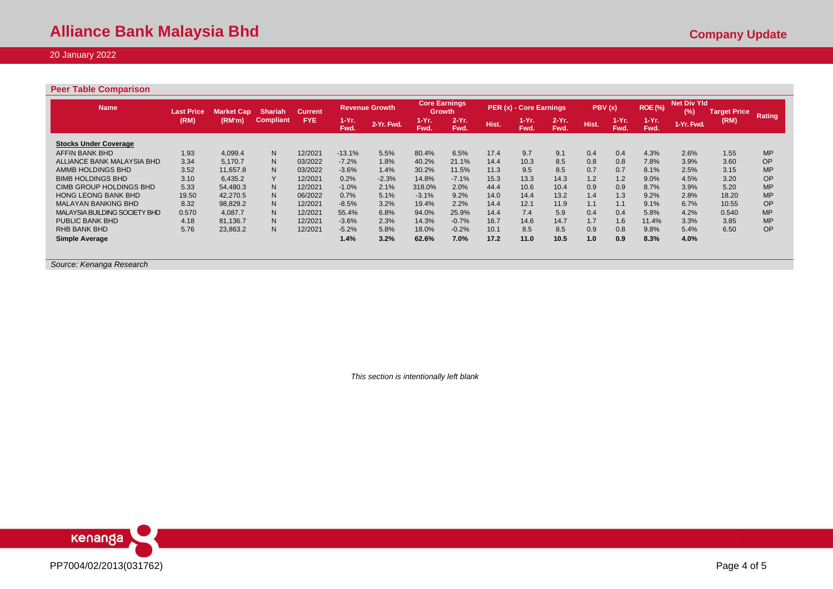# 20 January 2022

## **Peer Table Comparison**

| <b>Name</b>                   | <b>Last Price</b> | Market Cap <b>ˈ</b> | <b>Shariah</b>   | <b>Current</b> |               | <b>Revenue Growth</b> | <b>Core Earnings</b><br>Growth |                 |       | PER (x) - Core Earnings |                  | PBV(x) |                 | <b>ROE (%)</b> | <b>Net Div Yld</b><br>(%) | <b>Target Price</b> |           |
|-------------------------------|-------------------|---------------------|------------------|----------------|---------------|-----------------------|--------------------------------|-----------------|-------|-------------------------|------------------|--------|-----------------|----------------|---------------------------|---------------------|-----------|
|                               | (RM)              | (RM'm)              | <b>Compliant</b> | <b>FYE</b>     | 1-Yr.<br>Fwd. | 2-Yr. Fwd.            | 1-Yr.<br>Fwd.                  | $2-Yr.$<br>Fwd. | Hist. | $1-Yr.$<br>Fwd.         | $2-Yr$ .<br>Fwd. | Hist.  | $1-Yr.$<br>Fwd. | 1-Yr.<br>Fwd.  | 1-Yr. Fwd.                | (RM)                | Rating    |
| <b>Stocks Under Coverage</b>  |                   |                     |                  |                |               |                       |                                |                 |       |                         |                  |        |                 |                |                           |                     |           |
| AFFIN BANK BHD                | 1.93              | 4.099.4             | N <sub>1</sub>   | 12/2021        | $-13.1%$      | 5.5%                  | 80.4%                          | 6.5%            | 17.4  | 9.7                     | 9.1              | 0.4    | 0.4             | 4.3%           | 2.6%                      | 1.55                | <b>MP</b> |
| ALLIANCE BANK MALAYSIA BHD    | 3.34              | 5.170.7             | N <sub>1</sub>   | 03/2022        | $-7.2%$       | 1.8%                  | 40.2%                          | 21.1%           | 14.4  | 10.3                    | 8.5              | 0.8    | 0.8             | 7.8%           | 3.9%                      | 3.60                | OP        |
| AMMB HOLDINGS BHD             | 3.52              | 11.657.8            | N                | 03/2022        | $-3.6%$       | 1.4%                  | 30.2%                          | 11.5%           | 11.3  | 9.5                     | 8.5              | 0.7    | 0.7             | 8.1%           | 2.5%                      | 3.15                | <b>MP</b> |
| <b>BIMB HOLDINGS BHD</b>      | 3.10              | 6.435.2             | Y                | 12/2021        | 0.2%          | $-2.3%$               | 14.8%                          | $-7.1%$         | 15.3  | 13.3                    | 14.3             | 1.2    | 1.2             | $9.0\%$        | 4.5%                      | 3.20                | <b>OP</b> |
| CIMB GROUP HOLDINGS BHD       | 5.33              | 54.480.3            | N <sub>1</sub>   | 12/2021        | $-1.0%$       | 2.1%                  | 318.0%                         | 2.0%            | 44.4  | 10.6                    | 10.4             | 0.9    | 0.9             | 8.7%           | 3.9%                      | 5.20                | <b>MP</b> |
| <b>HONG LEONG BANK BHD</b>    | 19.50             | 42.270.5            | N <sub>1</sub>   | 06/2022        | 0.7%          | 5.1%                  | $-3.1%$                        | 9.2%            | 14.0  | 14.4                    | 13.2             | 1.4    | 1.3             | 9.2%           | 2.8%                      | 18.20               | <b>MP</b> |
| <b>MALAYAN BANKING BHD</b>    | 8.32              | 98.829.2            | N <sub>1</sub>   | 12/2021        | $-8.5%$       | 3.2%                  | 19.4%                          | 2.2%            | 14.4  | 12.1                    | 11.9             | 1.1    | 1.1             | 9.1%           | 6.7%                      | 10.55               | <b>OP</b> |
| MALAYSIA BUILDING SOCIETY BHD | 0.570             | 4.087.7             | N                | 12/2021        | 55.4%         | 6.8%                  | 94.0%                          | 25.9%           | 14.4  | 7.4                     | 5.9              | 0.4    | 0.4             | 5.8%           | 4.2%                      | 0.540               | <b>MP</b> |
| PUBLIC BANK BHD               | 4.18              | 81.136.7            | N.               | 12/2021        | $-3.6%$       | 2.3%                  | 14.3%                          | $-0.7%$         | 16.7  | 14.6                    | 14.7             | 1.7    | 1.6             | 11.4%          | 3.3%                      | 3.85                | <b>MP</b> |
| <b>RHB BANK BHD</b>           | 5.76              | 23,863.2            | N                | 12/2021        | $-5.2%$       | 5.8%                  | 18.0%                          | $-0.2%$         | 10.1  | 8.5                     | 8.5              | 0.9    | 0.8             | 9.8%           | 5.4%                      | 6.50                | <b>OP</b> |
| <b>Simple Average</b>         |                   |                     |                  |                | 1.4%          | 3.2%                  | 62.6%                          | 7.0%            | 17.2  | 11.0                    | 10.5             | 1.0    | 0.9             | 8.3%           | 4.0%                      |                     |           |

*Source: Kenanga Research* 

*This section is intentionally left blank*